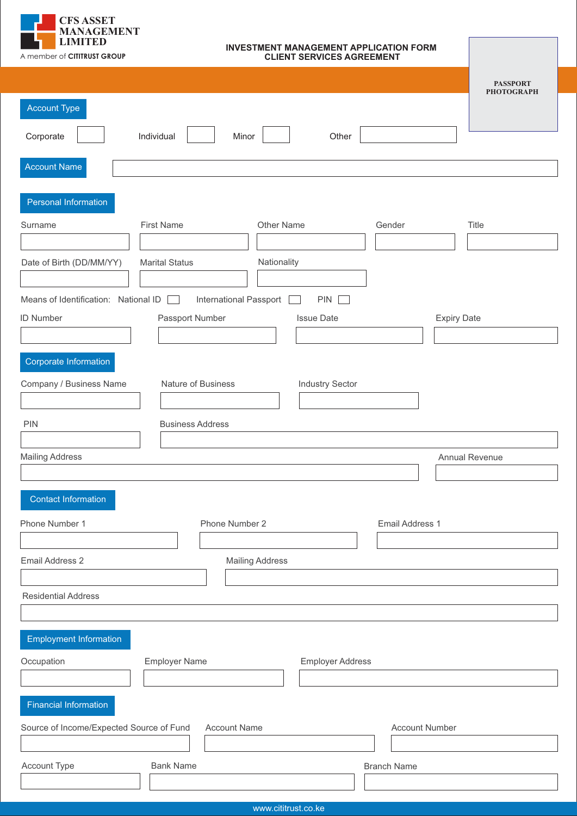

## **INVESTMENT MANAGEMENT APPLICATION FORM CLIENT SERVICES AGREEMENT**

|                                                                                          | <b>PASSPORT</b><br><b>PHOTOGRAPH</b> |
|------------------------------------------------------------------------------------------|--------------------------------------|
| <b>Account Type</b>                                                                      |                                      |
| Individual<br>Corporate<br>Minor<br>Other                                                |                                      |
|                                                                                          |                                      |
| <b>Account Name</b>                                                                      |                                      |
| Personal Information                                                                     |                                      |
| <b>First Name</b><br>Other Name<br>Surname<br>Gender                                     | Title                                |
|                                                                                          |                                      |
| Nationality<br>Date of Birth (DD/MM/YY)<br><b>Marital Status</b>                         |                                      |
| Means of Identification: National ID<br><b>International Passport</b><br>PIN  <br>$\sim$ |                                      |
| <b>ID Number</b><br>Passport Number<br><b>Issue Date</b><br><b>Expiry Date</b>           |                                      |
|                                                                                          |                                      |
| Corporate Information                                                                    |                                      |
| Company / Business Name<br>Nature of Business<br><b>Industry Sector</b>                  |                                      |
|                                                                                          |                                      |
| <b>PIN</b><br><b>Business Address</b>                                                    |                                      |
| <b>Mailing Address</b>                                                                   | Annual Revenue                       |
|                                                                                          |                                      |
| <b>Contact Information</b>                                                               |                                      |
| Phone Number 1<br>Phone Number 2<br><b>Email Address 1</b>                               |                                      |
|                                                                                          |                                      |
| Email Address 2<br><b>Mailing Address</b>                                                |                                      |
|                                                                                          |                                      |
| <b>Residential Address</b>                                                               |                                      |
| <b>Employment Information</b>                                                            |                                      |
| Occupation<br><b>Employer Name</b><br><b>Employer Address</b>                            |                                      |
|                                                                                          |                                      |
| <b>Financial Information</b>                                                             |                                      |
| Source of Income/Expected Source of Fund<br><b>Account Name</b><br><b>Account Number</b> |                                      |
|                                                                                          |                                      |
| Account Type<br><b>Bank Name</b><br><b>Branch Name</b>                                   |                                      |
|                                                                                          |                                      |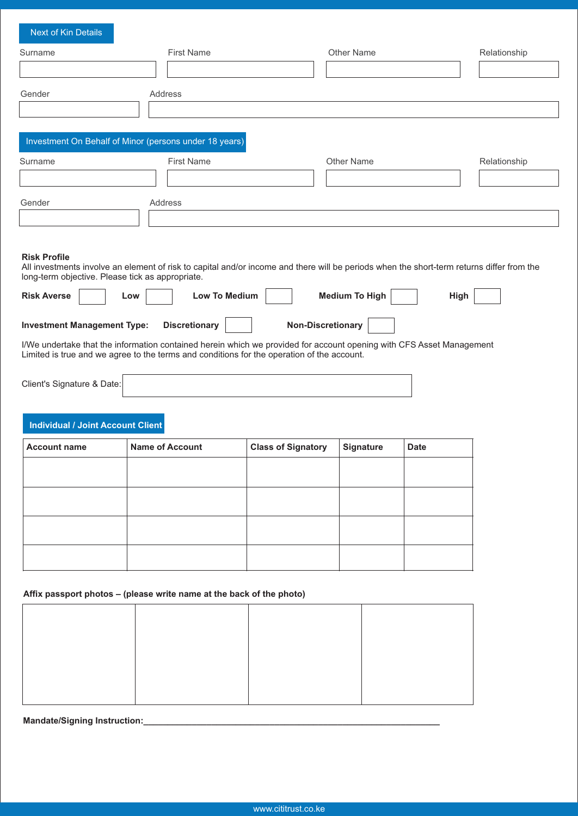| Next of Kin Details                                    |                   |            |              |
|--------------------------------------------------------|-------------------|------------|--------------|
| Surname                                                | <b>First Name</b> | Other Name | Relationship |
|                                                        |                   |            |              |
| Gender                                                 | Address           |            |              |
|                                                        |                   |            |              |
| Investment On Behalf of Minor (persons under 18 years) |                   |            |              |
| Surname                                                | <b>First Name</b> | Other Name | Relationship |
|                                                        |                   |            |              |
|                                                        | Address           |            |              |
| Gender                                                 |                   |            |              |

# **Risk Profile**

All investments involve an element of risk to capital and/or income and there will be periods when the short-term returns differ from the long-term objective. Please tick as appropriate.

| <b>Risk Averse</b>                 | Low | <b>Low To Medium</b> | Medium To High                                                                                                       | High |
|------------------------------------|-----|----------------------|----------------------------------------------------------------------------------------------------------------------|------|
| <b>Investment Management Type:</b> |     | <b>Discretionary</b> | <b>Non-Discretionary</b>                                                                                             |      |
|                                    |     |                      | I/We undertake that the information contained herein which we provided for account opening with CFS Asset Management |      |

Limited is true and we agree to the terms and conditions for the operation of the account.

| Client's Signature & Date: |  |
|----------------------------|--|
|----------------------------|--|

# **Individual / Joint Account Client**

| <b>Account name</b> | <b>Name of Account</b> | <b>Class of Signatory</b> | <b>Signature</b> | <b>Date</b> |
|---------------------|------------------------|---------------------------|------------------|-------------|
|                     |                        |                           |                  |             |
|                     |                        |                           |                  |             |
|                     |                        |                           |                  |             |
|                     |                        |                           |                  |             |
|                     |                        |                           |                  |             |
|                     |                        |                           |                  |             |
|                     |                        |                           |                  |             |
|                     |                        |                           |                  |             |

# Affix passport photos - (please write name at the back of the photo)

**Mandate/Signing Instruction:\_\_\_\_\_\_\_\_\_\_\_\_\_\_\_\_\_\_\_\_\_\_\_\_\_\_\_\_\_\_\_\_\_\_\_\_\_\_\_\_\_\_\_\_\_\_\_\_\_\_\_\_\_\_\_\_\_\_\_\_\_**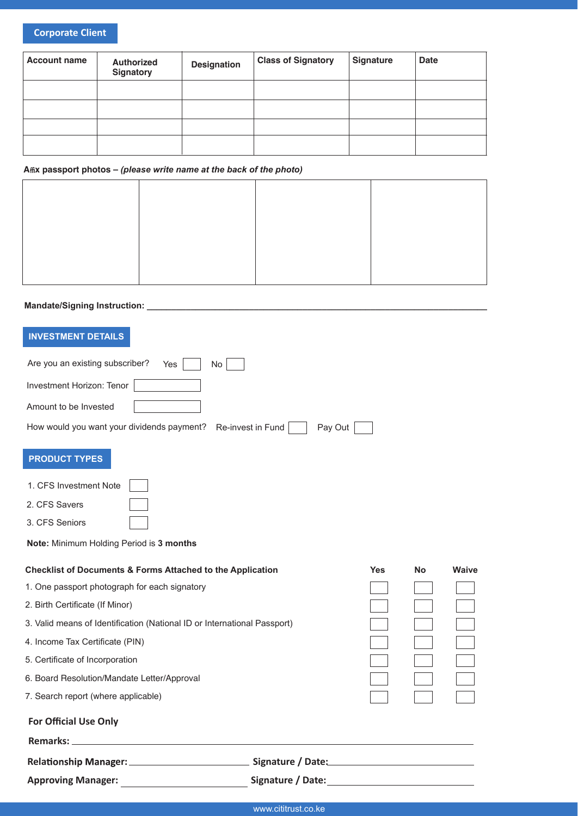# **Corporate Client**

| <b>Account name</b> | <b>Authorized</b><br>Signatory | <b>Designation</b> | <b>Class of Signatory</b> | <b>Signature</b> | <b>Date</b> |
|---------------------|--------------------------------|--------------------|---------------------------|------------------|-------------|
|                     |                                |                    |                           |                  |             |
|                     |                                |                    |                           |                  |             |
|                     |                                |                    |                           |                  |             |
|                     |                                |                    |                           |                  |             |

# Affix passport photos - (please write name at the back of the photo)

# 

# **INVESTMENT DETAILS**

| Are you an existing subscriber?<br>No<br>Yes                               |            |           |       |
|----------------------------------------------------------------------------|------------|-----------|-------|
| Investment Horizon: Tenor                                                  |            |           |       |
| Amount to be Invested                                                      |            |           |       |
| How would you want your dividends payment?<br>Re-invest in Fund<br>Pay Out |            |           |       |
| <b>PRODUCT TYPES</b>                                                       |            |           |       |
| 1. CFS Investment Note                                                     |            |           |       |
| 2. CFS Savers                                                              |            |           |       |
| 3. CFS Seniors                                                             |            |           |       |
| Note: Minimum Holding Period is 3 months                                   |            |           |       |
| <b>Checklist of Documents &amp; Forms Attached to the Application</b>      | <b>Yes</b> | <b>No</b> | Waive |
| 1. One passport photograph for each signatory                              |            |           |       |
| 2. Birth Certificate (If Minor)                                            |            |           |       |
| 3. Valid means of Identification (National ID or International Passport)   |            |           |       |
| 4. Income Tax Certificate (PIN)                                            |            |           |       |
| 5. Certificate of Incorporation                                            |            |           |       |
| 6. Board Resolution/Mandate Letter/Approval                                |            |           |       |
| 7. Search report (where applicable)                                        |            |           |       |
| <b>For Official Use Only</b>                                               |            |           |       |
| <b>Remarks:</b>                                                            |            |           |       |

| <b>Relationship Manager:</b> | Signature / Date: |
|------------------------------|-------------------|
| <b>Approving Manager:</b>    | Signature / Date: |